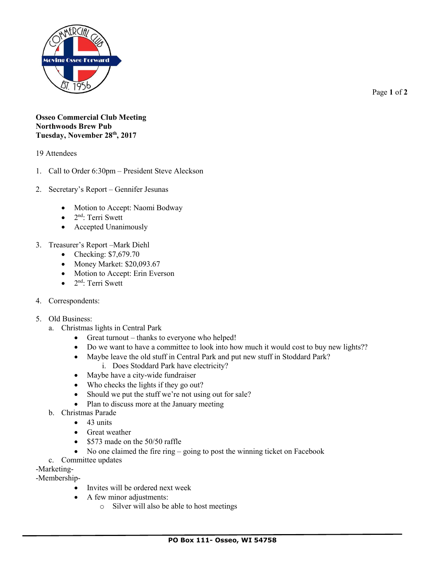

Page **1** of **2**

## **Osseo Commercial Club Meeting Northwoods Brew Pub Tuesday, November 28th , 2017**

19 Attendees

- 1. Call to Order 6:30pm President Steve Aleckson
- 2. Secretary's Report Gennifer Jesunas
	- Motion to Accept: Naomi Bodway
	- $\bullet$  2<sup>nd</sup>: Terri Swett
	- Accepted Unanimously
- 3. Treasurer's Report –Mark Diehl
	- Checking: \$7,679.70
	- Money Market: \$20,093.67
	- Motion to Accept: Erin Everson
	- $\bullet$  2<sup>nd</sup>: Terri Swett
- 4. Correspondents:
- 5. Old Business:
	- a. Christmas lights in Central Park
		- Great turnout thanks to everyone who helped!
		- Do we want to have a committee to look into how much it would cost to buy new lights??
		- Maybe leave the old stuff in Central Park and put new stuff in Stoddard Park?
			- i. Does Stoddard Park have electricity?
		- Maybe have a city-wide fundraiser
		- Who checks the lights if they go out?
		- Should we put the stuff we're not using out for sale?
		- Plan to discuss more at the January meeting
	- b. Christmas Parade
		- $\bullet$  43 units
		- Great weather
		- \$573 made on the 50/50 raffle
		- No one claimed the fire ring going to post the winning ticket on Facebook
	- c. Committee updates
- -Marketing-

-Membership-

- Invites will be ordered next week
- A few minor adjustments:
	- o Silver will also be able to host meetings